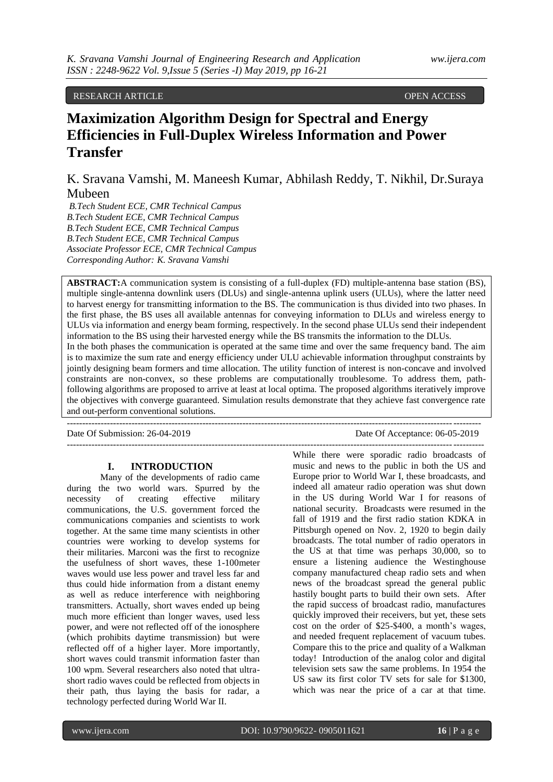## RESEARCH ARTICLE **CONSERVERS** OPEN ACCESS OPEN ACCESS

# **Maximization Algorithm Design for Spectral and Energy Efficiencies in Full-Duplex Wireless Information and Power Transfer**

K. Sravana Vamshi, M. Maneesh Kumar, Abhilash Reddy, T. Nikhil, Dr.Suraya Mubeen

*B.Tech Student ECE, CMR Technical Campus B.Tech Student ECE, CMR Technical Campus B.Tech Student ECE, CMR Technical Campus B.Tech Student ECE, CMR Technical Campus Associate Professor ECE, CMR Technical Campus Corresponding Author: K. Sravana Vamshi*

**ABSTRACT:**A communication system is consisting of a full-duplex (FD) multiple-antenna base station (BS), multiple single-antenna downlink users (DLUs) and single-antenna uplink users (ULUs), where the latter need to harvest energy for transmitting information to the BS. The communication is thus divided into two phases. In the first phase, the BS uses all available antennas for conveying information to DLUs and wireless energy to ULUs via information and energy beam forming, respectively. In the second phase ULUs send their independent information to the BS using their harvested energy while the BS transmits the information to the DLUs. In the both phases the communication is operated at the same time and over the same frequency band. The aim is to maximize the sum rate and energy efficiency under ULU achievable information throughput constraints by jointly designing beam formers and time allocation. The utility function of interest is non-concave and involved constraints are non-convex, so these problems are computationally troublesome. To address them, pathfollowing algorithms are proposed to arrive at least at local optima. The proposed algorithms iteratively improve the objectives with converge guaranteed. Simulation results demonstrate that they achieve fast convergence rate and out-perform conventional solutions.

--------------------------------------------------------------------------------------------------------------------------------------

---------------------------------------------------------------------------------------------------------------------------------------

Date Of Submission: 26-04-2019 Date Of Acceptance: 06-05-2019

#### **I. INTRODUCTION**

Many of the developments of radio came during the two world wars. Spurred by the necessity of creating effective military communications, the U.S. government forced the communications companies and scientists to work together. At the same time many scientists in other countries were working to develop systems for their militaries. Marconi was the first to recognize the usefulness of short waves, these 1-100meter waves would use less power and travel less far and thus could hide information from a distant enemy as well as reduce interference with neighboring transmitters. Actually, short waves ended up being much more efficient than longer waves, used less power, and were not reflected off of the ionosphere (which prohibits daytime transmission) but were reflected off of a higher layer. More importantly, short waves could transmit information faster than 100 wpm. Several researchers also noted that ultrashort radio waves could be reflected from objects in their path, thus laying the basis for radar, a technology perfected during World War II.

While there were sporadic radio broadcasts of music and news to the public in both the US and Europe prior to World War I, these broadcasts, and indeed all amateur radio operation was shut down in the US during World War I for reasons of national security. Broadcasts were resumed in the fall of 1919 and the first radio station KDKA in Pittsburgh opened on Nov. 2, 1920 to begin daily broadcasts. The total number of radio operators in the US at that time was perhaps 30,000, so to ensure a listening audience the Westinghouse company manufactured cheap radio sets and when news of the broadcast spread the general public hastily bought parts to build their own sets. After the rapid success of broadcast radio, manufactures quickly improved their receivers, but yet, these sets cost on the order of \$25-\$400, a month's wages, and needed frequent replacement of vacuum tubes. Compare this to the price and quality of a Walkman today! Introduction of the analog color and digital television sets saw the same problems. In 1954 the US saw its first color TV sets for sale for \$1300, which was near the price of a car at that time.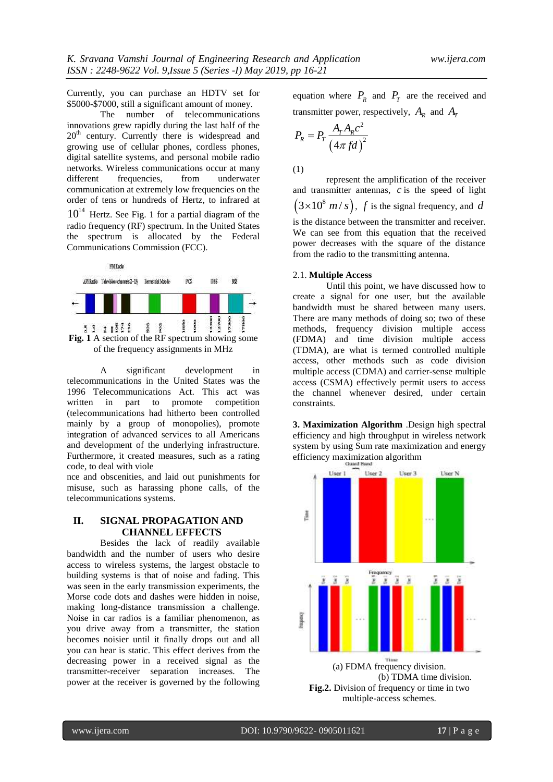Currently, you can purchase an HDTV set for \$5000-\$7000, still a significant amount of money.

The number of telecommunications innovations grew rapidly during the last half of the 20<sup>th</sup> century. Currently there is widespread and growing use of cellular phones, cordless phones, digital satellite systems, and personal mobile radio networks. Wireless communications occur at many different frequencies, from underwater communication at extremely low frequencies on the order of tens or hundreds of Hertz, to infrared at  $10^{14}$  Hertz. See Fig. 1 for a partial diagram of the radio frequency (RF) spectrum. In the United States the spectrum is allocated by the Federal Communications Commission (FCC).



A significant development in telecommunications in the United States was the 1996 Telecommunications Act. This act was written in part to promote competition (telecommunications had hitherto been controlled mainly by a group of monopolies), promote integration of advanced services to all Americans and development of the underlying infrastructure. Furthermore, it created measures, such as a rating code, to deal with viole

nce and obscenities, and laid out punishments for misuse, such as harassing phone calls, of the telecommunications systems.

## **II. SIGNAL PROPAGATION AND CHANNEL EFFECTS**

Besides the lack of readily available bandwidth and the number of users who desire access to wireless systems, the largest obstacle to building systems is that of noise and fading. This was seen in the early transmission experiments, the Morse code dots and dashes were hidden in noise, making long-distance transmission a challenge. Noise in car radios is a familiar phenomenon, as you drive away from a transmitter, the station becomes noisier until it finally drops out and all you can hear is static. This effect derives from the decreasing power in a received signal as the transmitter-receiver separation increases. The power at the receiver is governed by the following equation where  $P_R$  and  $P_T$  are the received and transmitter power, respectively,  $A_R$  and  $A_I$ 

$$
P_R = P_T \frac{A_T A_R c^2}{\left(4\pi f d\right)^2}
$$

(1)

represent the amplification of the receiver and transmitter antennas, *c* is the speed of light  $(3 \times 10^8 \text{ m/s})$ , *f* is the signal frequency, and *d* is the distance between the transmitter and receiver. We can see from this equation that the received power decreases with the square of the distance from the radio to the transmitting antenna.

#### 2.1. **Multiple Access**

Until this point, we have discussed how to create a signal for one user, but the available bandwidth must be shared between many users. There are many methods of doing so; two of these methods, frequency division multiple access (FDMA) and time division multiple access (TDMA), are what is termed controlled multiple access, other methods such as code division multiple access (CDMA) and carrier-sense multiple access (CSMA) effectively permit users to access the channel whenever desired, under certain constraints.

**3. Maximization Algorithm** .Design high spectral efficiency and high throughput in wireless network system by using Sum rate maximization and energy efficiency maximization algorithm



**Fig.2.** Division of frequency or time in two multiple-access schemes.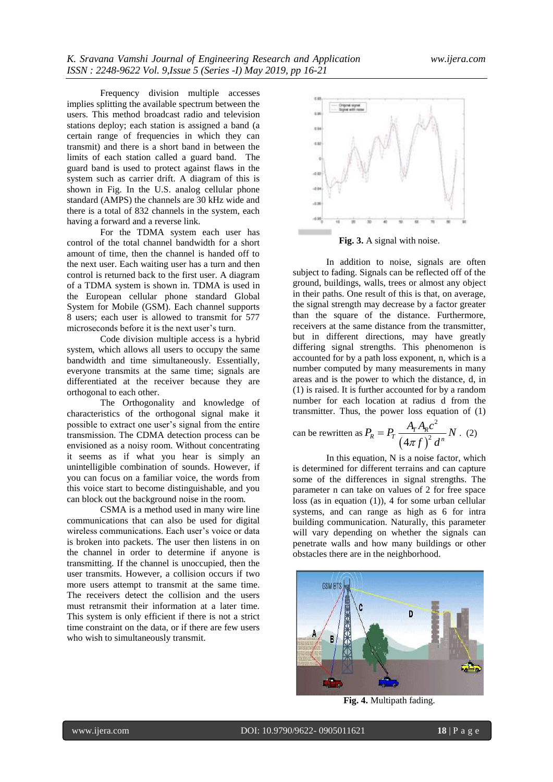Frequency division multiple accesses implies splitting the available spectrum between the users. This method broadcast radio and television stations deploy; each station is assigned a band (a certain range of frequencies in which they can transmit) and there is a short band in between the limits of each station called a guard band. The guard band is used to protect against flaws in the system such as carrier drift. A diagram of this is shown in Fig. In the U.S. analog cellular phone standard (AMPS) the channels are 30 kHz wide and there is a total of 832 channels in the system, each having a forward and a reverse link.

For the TDMA system each user has control of the total channel bandwidth for a short amount of time, then the channel is handed off to the next user. Each waiting user has a turn and then control is returned back to the first user. A diagram of a TDMA system is shown in. TDMA is used in the European cellular phone standard Global System for Mobile (GSM). Each channel supports 8 users; each user is allowed to transmit for 577 microseconds before it is the next user's turn.

Code division multiple access is a hybrid system, which allows all users to occupy the same bandwidth and time simultaneously. Essentially, everyone transmits at the same time; signals are differentiated at the receiver because they are orthogonal to each other.

The Orthogonality and knowledge of characteristics of the orthogonal signal make it possible to extract one user's signal from the entire transmission. The CDMA detection process can be envisioned as a noisy room. Without concentrating it seems as if what you hear is simply an unintelligible combination of sounds. However, if you can focus on a familiar voice, the words from this voice start to become distinguishable, and you can block out the background noise in the room.

CSMA is a method used in many wire line communications that can also be used for digital wireless communications. Each user's voice or data is broken into packets. The user then listens in on the channel in order to determine if anyone is transmitting. If the channel is unoccupied, then the user transmits. However, a collision occurs if two more users attempt to transmit at the same time. The receivers detect the collision and the users must retransmit their information at a later time. This system is only efficient if there is not a strict time constraint on the data, or if there are few users who wish to simultaneously transmit.



**Fig. 3.** A signal with noise.

In addition to noise, signals are often subject to fading. Signals can be reflected off of the ground, buildings, walls, trees or almost any object in their paths. One result of this is that, on average, the signal strength may decrease by a factor greater than the square of the distance. Furthermore, receivers at the same distance from the transmitter, but in different directions, may have greatly differing signal strengths. This phenomenon is accounted for by a path loss exponent, n, which is a number computed by many measurements in many areas and is the power to which the distance, d, in (1) is raised. It is further accounted for by a random number for each location at radius d from the transmitter. Thus, the power loss equation of (1)

can be rewritten as 
$$
P_R = P_T \frac{A_T A_R c^2}{\left(4\pi f\right)^2 d^n} N
$$
. (2)

In this equation, N is a noise factor, which is determined for different terrains and can capture some of the differences in signal strengths. The parameter n can take on values of 2 for free space loss (as in equation (1)), 4 for some urban cellular systems, and can range as high as 6 for intra building communication. Naturally, this parameter will vary depending on whether the signals can penetrate walls and how many buildings or other obstacles there are in the neighborhood.



**Fig. 4.** Multipath fading.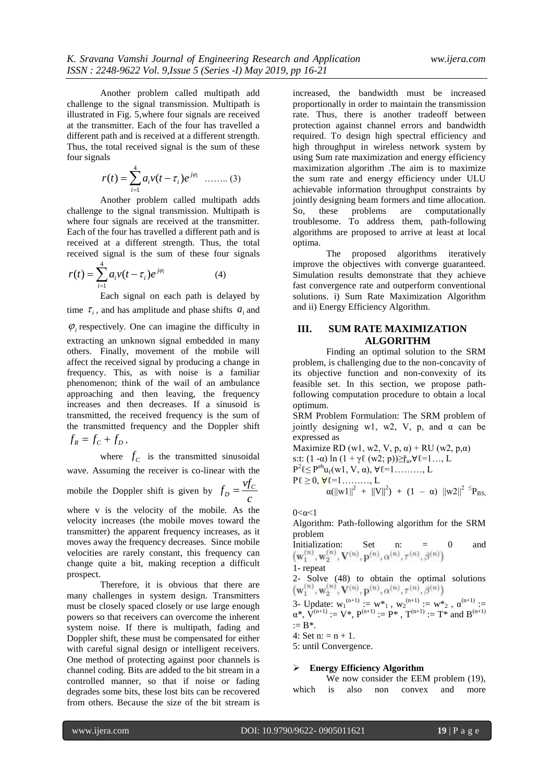Another problem called multipath add challenge to the signal transmission. Multipath is illustrated in Fig. 5,where four signals are received at the transmitter. Each of the four has travelled a different path and is received at a different strength. Thus, the total received signal is the sum of these four signals

$$
r(t) = \sum_{i=1}^{4} a_i v(t - \tau_i) e^{j\varphi_i} \quad \dots \dots \dots (3)
$$

Another problem called multipath adds challenge to the signal transmission. Multipath is where four signals are received at the transmitter. Each of the four has travelled a different path and is received at a different strength. Thus, the total received signal is the sum of these four signals

$$
r(t) = \sum_{i=1}^{4} a_i v(t - \tau_i) e^{j\varphi_i}
$$
 (4)

Each signal on each path is delayed by time  $\tau_i$ , and has amplitude and phase shifts  $a_i$  and

 $\varphi$ <sub>i</sub> respectively. One can imagine the difficulty in extracting an unknown signal embedded in many others. Finally, movement of the mobile will affect the received signal by producing a change in frequency. This, as with noise is a familiar phenomenon; think of the wail of an ambulance approaching and then leaving, the frequency increases and then decreases. If a sinusoid is transmitted, the received frequency is the sum of the transmitted frequency and the Doppler shift  $f_R = f_C + f_D$ ,

where  $f_c$  is the transmitted sinusoidal wave. Assuming the receiver is co-linear with the mobile the Doppler shift is given by  $f_D = \frac{v f_C}{v}$ *c*  $=$ 

where v is the velocity of the mobile. As the velocity increases (the mobile moves toward the transmitter) the apparent frequency increases, as it moves away the frequency decreases. Since mobile velocities are rarely constant, this frequency can change quite a bit, making reception a difficult prospect.

Therefore, it is obvious that there are many challenges in system design. Transmitters must be closely spaced closely or use large enough powers so that receivers can overcome the inherent system noise. If there is multipath, fading and Doppler shift, these must be compensated for either with careful signal design or intelligent receivers. One method of protecting against poor channels is channel coding. Bits are added to the bit stream in a controlled manner, so that if noise or fading degrades some bits, these lost bits can be recovered from others. Because the size of the bit stream is

increased, the bandwidth must be increased proportionally in order to maintain the transmission rate. Thus, there is another tradeoff between protection against channel errors and bandwidth required. To design high spectral efficiency and high throughput in wireless network system by using Sum rate maximization and energy efficiency maximization algorithm .The aim is to maximize the sum rate and energy efficiency under ULU achievable information throughput constraints by jointly designing beam formers and time allocation. So, these problems are computationally troublesome. To address them, path-following algorithms are proposed to arrive at least at local optima.

The proposed algorithms iteratively improve the objectives with converge guaranteed. Simulation results demonstrate that they achieve fast convergence rate and outperform conventional solutions. i) Sum Rate Maximization Algorithm and ii) Energy Efficiency Algorithm.

## **III. SUM RATE MAXIMIZATION ALGORITHM**

Finding an optimal solution to the SRM problem, is challenging due to the non-concavity of its objective function and non-convexity of its feasible set. In this section, we propose pathfollowing computation procedure to obtain a local optimum.

SRM Problem Formulation: The SRM problem of jointly designing w1, w2, V, p, and  $\alpha$  can be expressed as

Maximize RD (w1, w2, V, p,  $\alpha$ ) + RU (w2, p, $\alpha$ ) s:t:  $(1 - \alpha) \ln (1 + \gamma \ell (w^2; p)) \geq \bar{r}_u, \forall \ell = 1, \ldots, L$  $P^2 \& P^{eh} u_\ell(w1, V, \alpha), \forall \ell = 1, \ldots, L$  $P\ell \geq 0, \forall \ell = 1, \ldots, L$  $\alpha(||w1||^2 + ||V||^2) + (1 - \alpha) ||w2||^2 \leq P_{BS}$ 

0<α<1

Algorithm: Path-following algorithm for the SRM problem

Initialization: Set n: = 0 and  
\n
$$
(\mathbf{w}_1^{(n)}, \mathbf{w}_2^{(n)}, \mathbf{V}^{(n)}, \mathbf{p}^{(n)}, \alpha^{(n)}, \tau^{(n)}, \beta^{(n)})
$$
  
\n1- repeat  
\n2- Solve (48) to obtain the optimal solutions

 $\left(\mathbf{w}_1^{(n)},\mathbf{w}_2^{(n)},\mathbf{V}^{(n)},\mathbf{p}^{(n)},\alpha^{(n)},\tau^{(n)},\beta^{(n)}\right)$ 3- Update:  $w_1^{(n+1)} := w^*_{1}$ ,  $w_2^{(n+1)} := w^*_{2}$ ,  $\alpha^{(n+1)} :=$  $\alpha^*$ ,  $\hat{V}^{(n+1)} := V^*$ ,  $P^{(n+1)} := P^*$ ,  $T^{(n+1)} := T^*$  and  $B^{(n+1)}$  $:= B^*$ .

4: Set  $n: = n + 1$ .

5: until Convergence.

## **Energy Efficiency Algorithm**

We now consider the EEM problem  $(19)$ , which is also non convex and more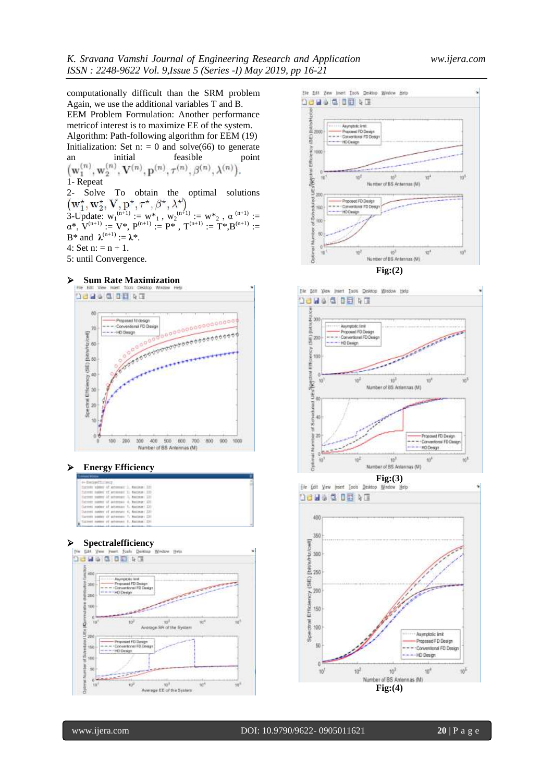computationally difficult than the SRM problem Again, we use the additional variables T and B. EEM Problem Formulation: Another performance metricof interest is to maximize EE of the system. Algorithm: Path-following algorithm for EEM (19) Initialization: Set n:  $= 0$  and solve(66) to generate an initial feasible point  $(\mathbf{w}_1^{(n)},\mathbf{w}_2^{(n)},\mathbf{V}^{(n)},\mathbf{p}^{(n)},\tau^{(n)},\beta^{(n)},\lambda^{(n)}).$ 1- Repeat 2- Solve To obtain the optimal solutions 3-Update:  $w_1^{(n+1)} := w^*_{1}$ ,  $w_2^{(n+1)} := w^*_{2}$ ,  $\alpha^{(n+1)} :=$  $\alpha^*$ ,  $V^{(n+1)} = V^*$ ,  $P^{(n+1)} = P^*$ ,  $T^{(n+1)} = T^*$ ,  $B^{(n+1)} =$  $B^*$  and  $\lambda^{(n+1)} := \lambda^*$ . 4: Set  $n: = n + 1$ .

5: until Convergence.

### **Sum Rate Maximization**



#### **Energy Efficiency**

| 34-EmotentEtrience |  |                                               |  |  |
|--------------------|--|-----------------------------------------------|--|--|
|                    |  | Carrott sides of actionals 2, Banker 231      |  |  |
|                    |  | Extents baths) of artistical 11 Nacional 1301 |  |  |
|                    |  | Tarreen names of actionism: 31 Matters: 221   |  |  |
|                    |  | Denver notice of activises 4. Bettern 170.    |  |  |
|                    |  | Garcent number of actions.co U. Masteum: 230. |  |  |
|                    |  | Datosol custor of actensary 4. Basimus 231    |  |  |
|                    |  | Taccoli patter of achieves: T. Maling: 230    |  |  |
|                    |  | Littlet name of actional I. Rating: 230       |  |  |
|                    |  |                                               |  |  |

## **Spectralefficiency**